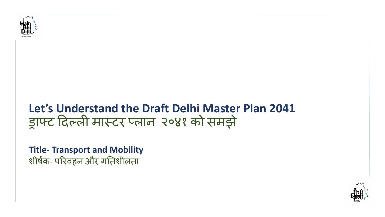

## **Let's Understand the Draft Delhi Master Plan 2041**  ड्राफ्ट दिल्ली मास्टर प्लान २०४१ को समझे

**Title- Transport and Mobility** शीर्षक- परिवहन और गतिशीलता

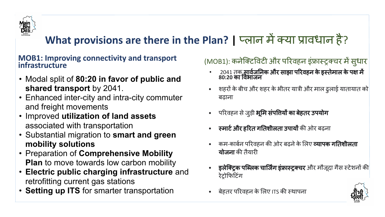

### **What provisions are there in the Plan? | प्लान में क्या प्रावधान है?**

#### **MOB1: Improving connectivity and transport infrastructure**

- Modal split of **80:20 in favor of public and shared transport** by 2041.
- Enhanced inter-city and intra-city commuter and freight movements
- Improved **utilization of land assets** associated with transportation
- Substantial migration to **smart and green mobility solutions**
- Preparation of **Comprehensive Mobility Plan** to move towards low carbon mobility
- **Electric public charging infrastructure** and retrofitting current gas stations
- **Setting up ITS** for smarter transportation

### (MOB1): कनेक्टिविटी और परिवहन इंफ्रास्ट्रक्चर में सुधार

- 2041 तक सावेजनिक और साझा परिवहन के इस्तेमाल के पक्ष में 80:20 का विभाज**न**
- शहरों केबीच और शहर केभीतर यात्री और माल ढु लाई यातायात को बढ़ाना
- परिवहन से जुड़ी **भूमि संपत्तियों का बेहतर उपयोग**
- **स्मार्ट और हरित गतिशीलता उपायों** की ओर बढ़ना
- कम-कार्बन परिवहन की ओर बढने के लिए **व्यापक गतिशीलता** योजना की तैयारी
- इ**लेक्ट्रिक पब्लिक चार्जिंग इंफ्रास्ट्रक्चर** और मौजूदा गैस स्टेशनों की रेट्रोफिटिंग
- बेहतर परिवहन के लिए ITS की स्थापना

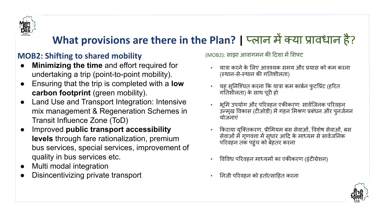

### **What provisions are there in the Plan? | प्लान में क्या प्रावधान है?**

#### **MOB2: Shifting to shared mobility**

- **Minimizing the time** and effort required for undertaking a trip (point-to-point mobility).
- Ensuring that the trip is completed with a **low carbon footprint** (green mobility).
- Land Use and Transport Integration: Intensive mix management & Regeneration Schemes in Transit Influence Zone (ToD)
- Improved **public transport accessibility levels** through fare rationalization, premium bus services, special services, improvement of quality in bus services etc.
- Multi modal integration
- Disincentivizing private transport

(MOB2): साझा आवागमन की दिशा में शिफ्ट

- यात्रा करनेके ͧलए आवæयक समय और प्रयास को कम करना (èथान-से-èथान की गǓतशीलता)
- यह सुनिश्चित करना कि यात्रा कम कार्बन फुटप्रिंट (हरित गतिशीलता) के साथ पूरी हो
- भूमि उपयोग और परिवहन एकीकरण: सार्वजिनक परिवहन उन्मुख विकास (टीओडी) में गहन मिश्रण प्रबंधन और पुनर्जनन योजनाएं
- किराया युक्तिकरण, प्रीमियम बस सेवाओं, विशेष सेवाओं, बस सेवाओं में गुणवत्ता में सुधार आदि के माध्यम से सावेजनिक परिवहन तक पहुंच को बेहतर करना
- विविध परिवहन माध्यमों का एकीकरण (इंटीग्रेशन)
- Ǔनजी पǐरवहन को हतोत्साǑहत करना

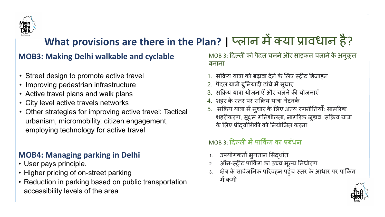

## What provisions are there in the Plan? | प्लान में क्या प्रावधान है?

### **MOB3: Making Delhi walkable and cyclable**

- Street design to promote active travel
- Improving pedestrian infrastructure
- Active travel plans and walk plans
- City level active travels networks
- Other strategies for improving active travel: Tactical urbanism, micromobility, citizen engagement, employing technology for active travel

### **MOB4: Managing parking in Delhi**

- User pays principle.
- Higher pricing of on-street parking
- Reduction in parking based on public transportation accessibility levels of the area

MOB 3: दिल्ली को पैदल चलने और साइकल चलाने के अनुकूल बनाना

- 1. सक्रिय यात्रा को बढ़ावा देने के लिए स्ट्रीट डिजाइन
- 2. पैदल यात्री बुनियादी ढांचे में सुधार
- 3. सͩक्रिय यात्रा योजनाएँऔर चलनेकी योजनाएँ
- 4. शहर के स्तर पर सक्रिय यात्रा नेटवर्क
- 5. सक्रिय यात्रा में सुधार के लिए अन्य रणनीतियाँ: सामरिक शहरीकरण, सूक्ष्म गतिशीलता, नागरिक जुड़ाव, सक्रिय यात्रा के लिए प्रौदयोगिकी को नियोजित करना

### MOB 3: Ǒदल्ली मेंपाͩकर्किं ग का प्रबंधन

- 1. उपयोगकर्ता भुगतान सिद्धांत
- 2. ऑन-स्ट्रीट पार्किंग का उच्च मूल्य निर्धारण
- 3. क्षेत्र के सार्वजनिक परिवहन पहुंच स्तर के आधार पर पार्किंग मेंकमी

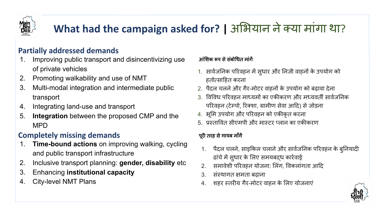

# What had the campaign asked for? | अभियान ने क्या मांगा था?

#### **Partially addressed demands**

- 1. Improving public transport and disincentivizing use of private vehicles
- 2. Promoting walkability and use of NMT
- 3. Multi-modal integration and intermediate public transport
- 4. Integrating land-use and transport
- 5. **Integration** between the proposed CMP and the MPD

#### **Completely missing demands**

- 1. **Time-bound actions** on improving walking, cycling and public transport infrastructure
- 2. Inclusive transport planning: **gender, disability** etc
- 3. Enhancing **institutional capacity**
- 4. City-level NMT Plans

#### आंशिक रूप से संबोधित मांगें

- 1. सार्वजनिक परिवहन में सुधार और निजी वाहनों के उपयोग को हतोत्साǑहत करना
- 2. पैदल चलनेऔर गैर-मोटर वाहनों के उपयोग को बढ़ावा देना
- 3. विविध परिवहन माध्यमों का एकीकरण और मध्यवर्ती सार्वजनिक परिवहन (टेम्पो, रिक्शा, ग्रामीण सेवा आदि) से जोड़ना
- 4. भूमि उपयोग और परिवहन को एकीकृत करना
- 5. प्रस्तावित सीएमपी और मास्टर प्लान का एकीकरण

#### पूरी तरह से गायब माँगें

- 1. पैदल चलने, साइकिल चलाने और सार्वजनिक परिवहन के बुनियादी ढांचे में सुधार के लिए समयबद्ध कार्रवाई
- 2. समावेशी परिवहन योजना: लिंग, विकलांगता आदि
- 3. संस्थागत क्षमता बढ़ाना
- 4. शहर èतरीय गैर-मोटर वाहन के ͧलए योजनाएं

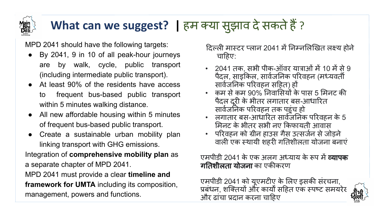# What can we suggest? | हम क्या सुझाव दे सकते हैं ?

MPD 2041 should have the following targets:

- By 2041, 9 in 10 of all peak-hour journeys are by walk, cycle, public transport (including intermediate public transport).
- At least 90% of the residents have access to frequent bus-based public transport within 5 minutes walking distance.
- All new affordable housing within 5 minutes of frequent bus-based public transport.
- Create a sustainable urban mobility plan linking transport with GHG emissions.

Integration of **comprehensive mobility plan** as a separate chapter of MPD 2041.

MPD 2041 must provide a clear **timeline and framework for UMTA** including its composition, management, powers and functions.

दिल्ली मास्टर प्लान 2041 में निम्नलिखित लक्ष्य होने चाहिए:

- 2041 तक, सभी पीक-ऑवर यात्राओंमें 10 मेंसे 9 पैदल, साइकिल, सार्वजनिक परिवहन (मध्यवर्ती सार्वजनिक परिवहन सहित) हों
- कम सेकम 90% Ǔनवाͧसयों के पास 5 ͧमनट की पैदल दूरी के भीतर लगातार बस-आधारित सार्वजनिक परिवहन तक पहुंच हो
- लगातार बस-आधारित सार्वजनिक परिवहन के 5 ͧमनट के भीतर सभी नए ͩकफायती आवास
- <u>परिवहन को ग्रीन हाउस गैस उत्सर्जन से जोड़ने</u> वाली एक स्थायी शहरी गतिशीलता योजना बनाएं

एमपीडी 2041 के एक अलग अध्याय के रूप में **व्यापक गतिशीलता योजना** का एकीकरण

एमपीडी 2041 को यूएमटीए के ͧलए इसकी संरचना, प्रबंधन, शक्तियों और कार्यों सहित एक स्पष्ट समयरेर और ढांचा प्रदान करना चाǑहए

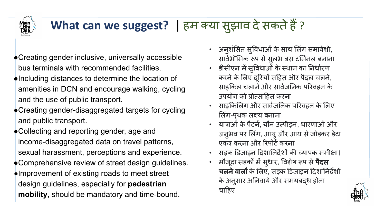

# **What can we suggest? | हम क्या सुझाव दे सकते हैं ?**

- **●**Creating gender inclusive, universally accessible bus terminals with recommended facilities.
- **●**Including distances to determine the location of amenities in DCN and encourage walking, cycling and the use of public transport.
- **●**Creating gender-disaggregated targets for cycling and public transport.
- **●**Collecting and reporting gender, age and income-disaggregated data on travel patterns, sexual harassment, perceptions and experience. **●**Comprehensive review of street design guidelines. **●**Improvement of existing roads to meet street
- design guidelines, especially for **pedestrian mobility**, should be mandatory and time-bound.
- अनुशंͧसत सुͪवधाओंके साथ ͧल ंग समावेशी, सार्वभौमिक रूप से सुलभ बस टर्मिनल बनाना
- डीसीएन में सुविधाओं के स्थान का निर्धारण करने के लिए दूरियों सहित और पैदल चलने, साइकिल चलाने और सार्वजनिक परिवहन के उपयोग को प्रोत्साǑहत करना
- साइकिलिंग और सार्वजनिक परिवहन के लिए लिंग-पृथक लक्ष्य बनाना
- यात्राओं के पैटर्न, यौन उत्पीड़न, धारणाओं और अनुभव पर लिंग, आयु और आय से जोड़कर डेटा एकत्र करना और रिपोर्ट करना
- सड़क डिजाइन दिशानिर्देशों की व्यापक समीक्षा।
- मौजूदा सड़कों में सुधार, विशेष रूप से **पैदल** चलने वालों के लिए, सड़क डिजाइन दिशानिर्देशों के अनुसार अनिवार्य और समयबदध होना चाहिए

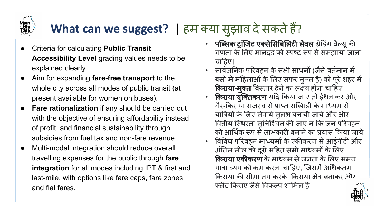

# **What can we suggest? | हम क्या सुझाव दे सकते हैं?**

- Criteria for calculating **Public Transit Accessibility Level** grading values needs to be explained clearly.
- Aim for expanding **fare-free transport** to the whole city across all modes of public transit (at present available for women on buses).
- **Fare rationalization** if any should be carried out with the objective of ensuring affordability instead of profit, and financial sustainability through subsidies from fuel tax and non-fare revenue.
- Multi-modal integration should reduce overall travelling expenses for the public through **fare integration** for all modes including IPT & first and last-mile, with options like fare caps, fare zones and flat fares.
- पब्लिक ट्रांजिट एक्सेसिबिलिटी लेवल ग्रेडिंग वैल्यू की गणना के लिए मानदंड को स्पष्ट रूप से समझाया जाना चाहिए।
- सावर्थिजǓनक पǐरवहन के सभी साधनों (जैसेवतर्थिमान में बसों में महिलाओं के लिए सफर मुफ्त है) को पूरे शहर में **किराया-मुक्त** विस्तार देने का लक्ष्य होना चाहिए
- किराया युक्तिकरण यदि किया जाए तो ईंधन कर और गैर-किराया राजस्व से प्राप्त सब्सिडी के माध्यम से यात्रियों के लिए सेवायें सुलभ बनायी जायें और और वितीय स्थिरता सुनिश्चित की जाए न कि जन परिवहन <u>को आर्थिक रूप से लाभकारी बनाने का प्रयास किया जाये</u>
- विविध परिवहन माध्यमों के एकीकरण से आईपीटी और अंतिम मील की दूरी सहित सभी माध्यमों के लिए **किराया एकीकरण** के माध्यम से जनता के लिए समग्र यात्रा व्यय को कम करना चाहिए, जिसमें अधिकतम किराया की सीमा तय करके, किराया क्षेत्र बनाकर और फ्लैट किराए जैसे विकल्प शामिल हैं।